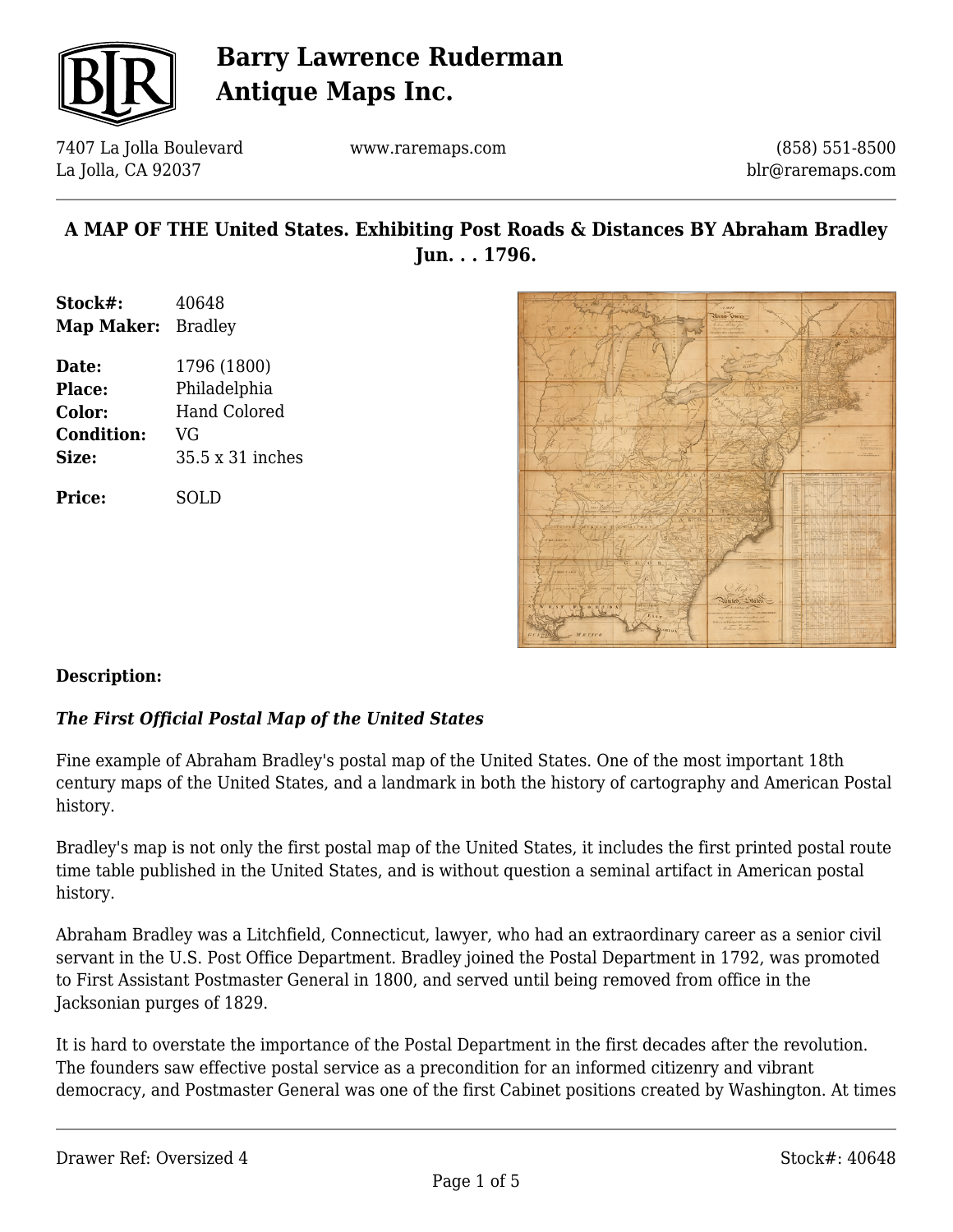

7407 La Jolla Boulevard La Jolla, CA 92037

www.raremaps.com

(858) 551-8500 blr@raremaps.com

## **A MAP OF THE United States. Exhibiting Post Roads & Distances BY Abraham Bradley Jun. . . 1796.**

- **Stock#:** 40648 **Map Maker:** Bradley
- **Date:** 1796 (1800) **Place:** Philadelphia **Color:** Hand Colored **Condition:** VG **Size:** 35.5 x 31 inches

**Price:** SOLD



### **Description:**

#### *The First Official Postal Map of the United States*

Fine example of Abraham Bradley's postal map of the United States. One of the most important 18th century maps of the United States, and a landmark in both the history of cartography and American Postal history.

Bradley's map is not only the first postal map of the United States, it includes the first printed postal route time table published in the United States, and is without question a seminal artifact in American postal history.

Abraham Bradley was a Litchfield, Connecticut, lawyer, who had an extraordinary career as a senior civil servant in the U.S. Post Office Department. Bradley joined the Postal Department in 1792, was promoted to First Assistant Postmaster General in 1800, and served until being removed from office in the Jacksonian purges of 1829.

It is hard to overstate the importance of the Postal Department in the first decades after the revolution. The founders saw effective postal service as a precondition for an informed citizenry and vibrant democracy, and Postmaster General was one of the first Cabinet positions created by Washington. At times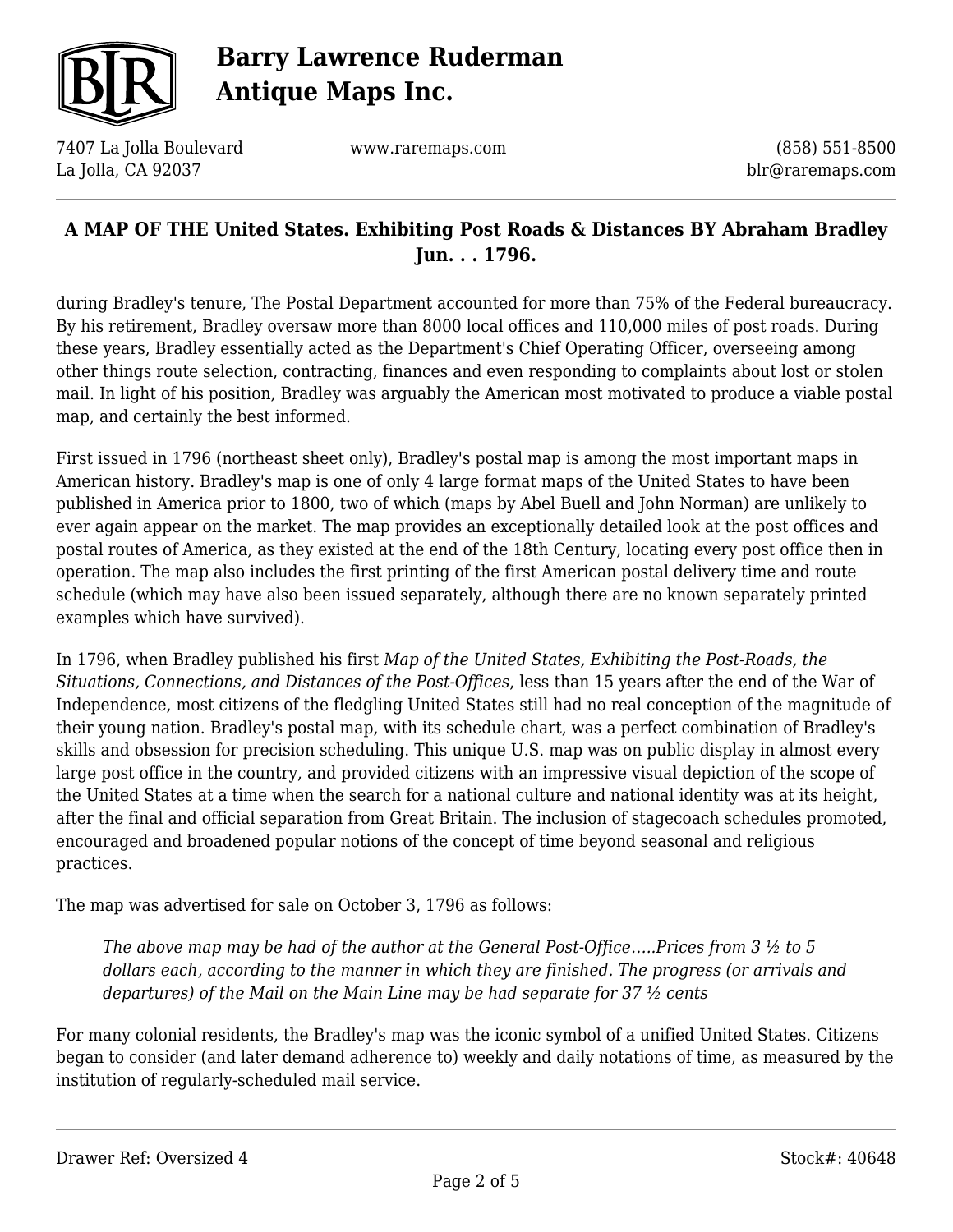

7407 La Jolla Boulevard La Jolla, CA 92037

www.raremaps.com

(858) 551-8500 blr@raremaps.com

### **A MAP OF THE United States. Exhibiting Post Roads & Distances BY Abraham Bradley Jun. . . 1796.**

during Bradley's tenure, The Postal Department accounted for more than 75% of the Federal bureaucracy. By his retirement, Bradley oversaw more than 8000 local offices and 110,000 miles of post roads. During these years, Bradley essentially acted as the Department's Chief Operating Officer, overseeing among other things route selection, contracting, finances and even responding to complaints about lost or stolen mail. In light of his position, Bradley was arguably the American most motivated to produce a viable postal map, and certainly the best informed.

First issued in 1796 (northeast sheet only), Bradley's postal map is among the most important maps in American history. Bradley's map is one of only 4 large format maps of the United States to have been published in America prior to 1800, two of which (maps by Abel Buell and John Norman) are unlikely to ever again appear on the market. The map provides an exceptionally detailed look at the post offices and postal routes of America, as they existed at the end of the 18th Century, locating every post office then in operation. The map also includes the first printing of the first American postal delivery time and route schedule (which may have also been issued separately, although there are no known separately printed examples which have survived).

In 1796, when Bradley published his first *Map of the United States, Exhibiting the Post-Roads, the Situations, Connections, and Distances of the Post-Offices*, less than 15 years after the end of the War of Independence, most citizens of the fledgling United States still had no real conception of the magnitude of their young nation. Bradley's postal map, with its schedule chart, was a perfect combination of Bradley's skills and obsession for precision scheduling. This unique U.S. map was on public display in almost every large post office in the country, and provided citizens with an impressive visual depiction of the scope of the United States at a time when the search for a national culture and national identity was at its height, after the final and official separation from Great Britain. The inclusion of stagecoach schedules promoted, encouraged and broadened popular notions of the concept of time beyond seasonal and religious practices.

The map was advertised for sale on October 3, 1796 as follows:

*The above map may be had of the author at the General Post-Office…..Prices from 3 ½ to 5 dollars each, according to the manner in which they are finished. The progress (or arrivals and departures) of the Mail on the Main Line may be had separate for 37 ½ cents*

For many colonial residents, the Bradley's map was the iconic symbol of a unified United States. Citizens began to consider (and later demand adherence to) weekly and daily notations of time, as measured by the institution of regularly-scheduled mail service.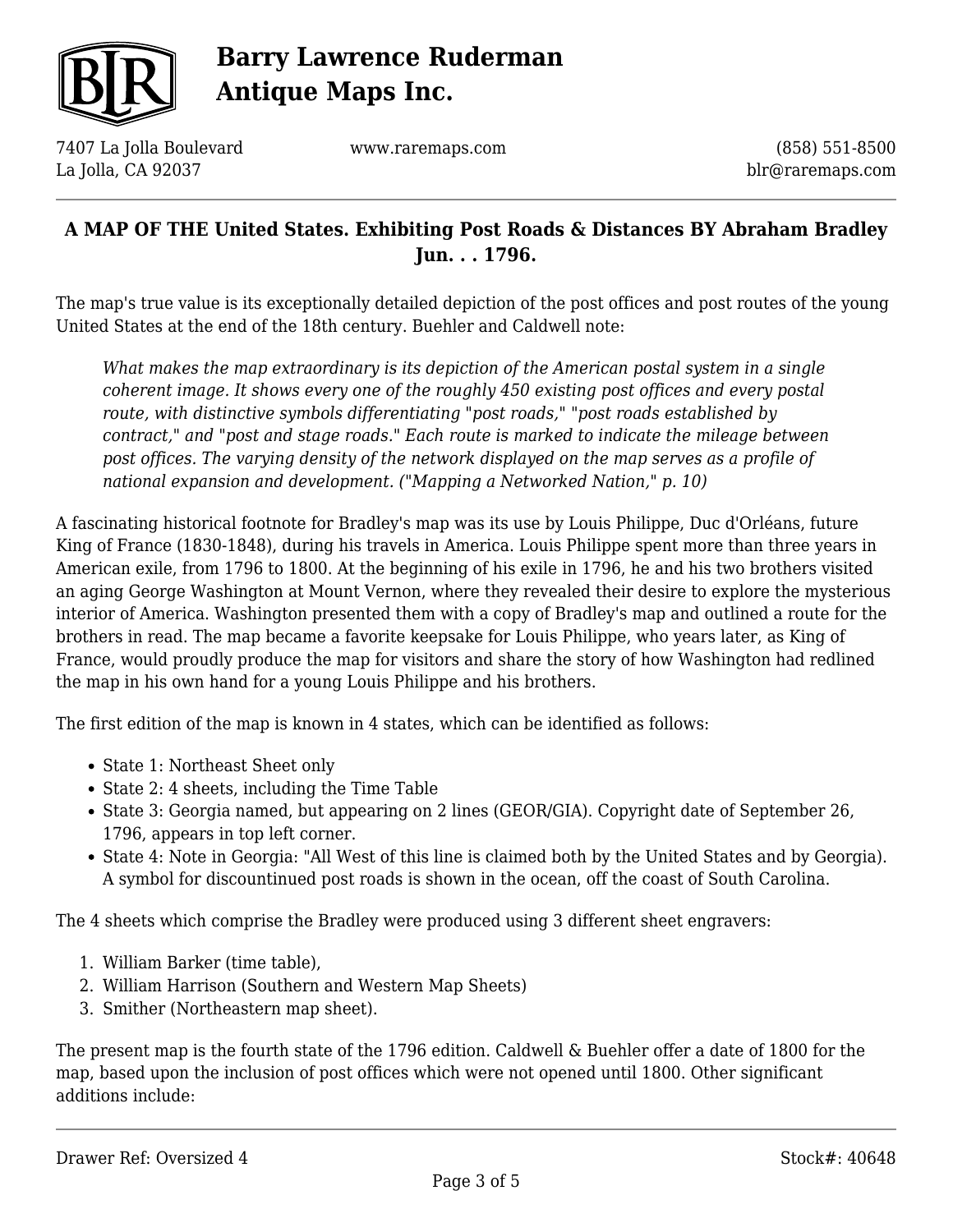

7407 La Jolla Boulevard La Jolla, CA 92037

www.raremaps.com

(858) 551-8500 blr@raremaps.com

### **A MAP OF THE United States. Exhibiting Post Roads & Distances BY Abraham Bradley Jun. . . 1796.**

The map's true value is its exceptionally detailed depiction of the post offices and post routes of the young United States at the end of the 18th century. Buehler and Caldwell note:

*What makes the map extraordinary is its depiction of the American postal system in a single coherent image. It shows every one of the roughly 450 existing post offices and every postal route, with distinctive symbols differentiating "post roads," "post roads established by contract," and "post and stage roads." Each route is marked to indicate the mileage between post offices. The varying density of the network displayed on the map serves as a profile of national expansion and development. ("Mapping a Networked Nation," p. 10)*

A fascinating historical footnote for Bradley's map was its use by Louis Philippe, Duc d'Orléans, future King of France (1830-1848), during his travels in America. Louis Philippe spent more than three years in American exile, from 1796 to 1800. At the beginning of his exile in 1796, he and his two brothers visited an aging George Washington at Mount Vernon, where they revealed their desire to explore the mysterious interior of America. Washington presented them with a copy of Bradley's map and outlined a route for the brothers in read. The map became a favorite keepsake for Louis Philippe, who years later, as King of France, would proudly produce the map for visitors and share the story of how Washington had redlined the map in his own hand for a young Louis Philippe and his brothers.

The first edition of the map is known in 4 states, which can be identified as follows:

- State 1: Northeast Sheet only
- State 2: 4 sheets, including the Time Table
- State 3: Georgia named, but appearing on 2 lines (GEOR/GIA). Copyright date of September 26, 1796, appears in top left corner.
- State 4: Note in Georgia: "All West of this line is claimed both by the United States and by Georgia). A symbol for discountinued post roads is shown in the ocean, off the coast of South Carolina.

The 4 sheets which comprise the Bradley were produced using 3 different sheet engravers:

- 1. William Barker (time table),
- 2. William Harrison (Southern and Western Map Sheets)
- 3. Smither (Northeastern map sheet).

The present map is the fourth state of the 1796 edition. Caldwell & Buehler offer a date of 1800 for the map, based upon the inclusion of post offices which were not opened until 1800. Other significant additions include: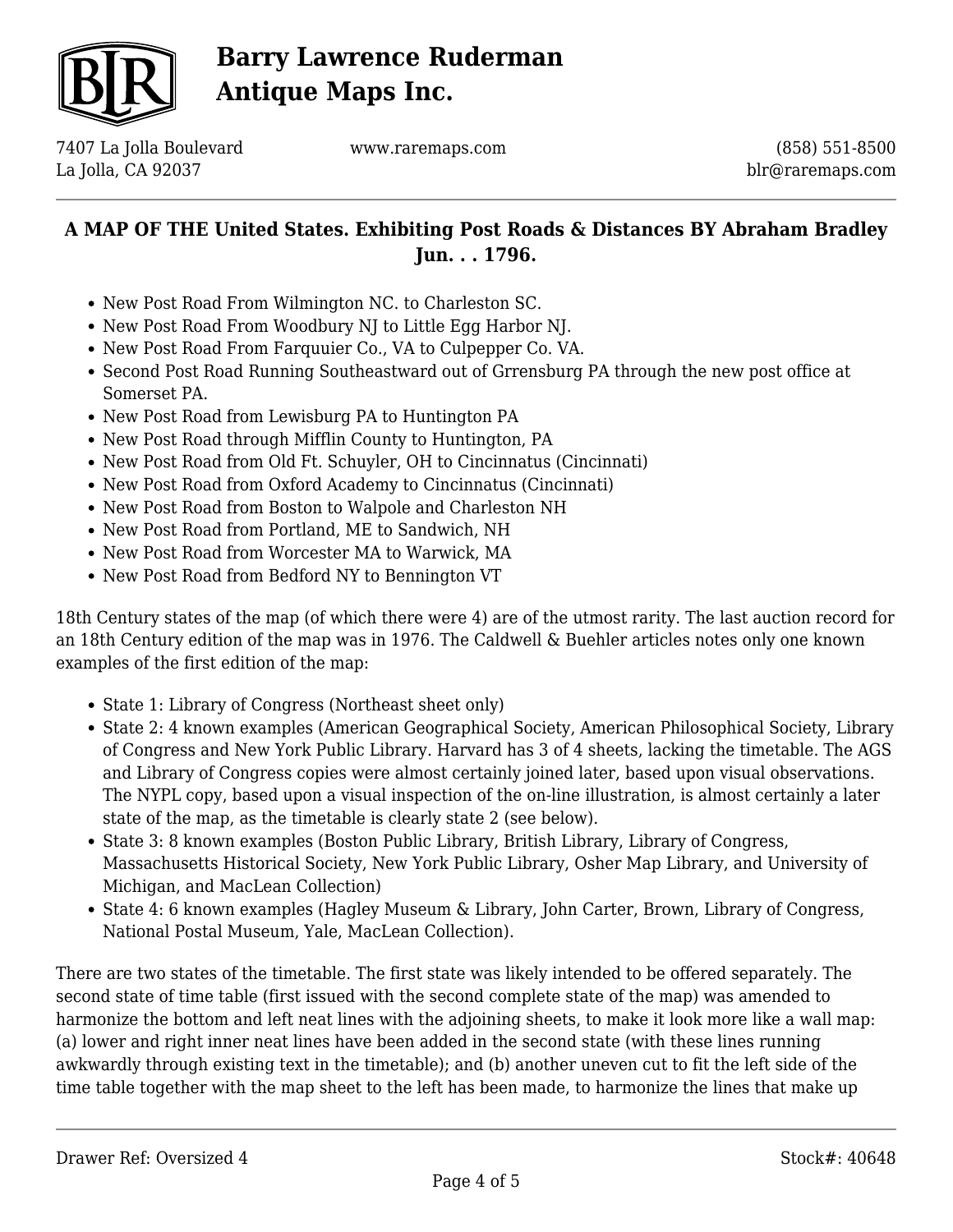

7407 La Jolla Boulevard La Jolla, CA 92037

www.raremaps.com

(858) 551-8500 blr@raremaps.com

## **A MAP OF THE United States. Exhibiting Post Roads & Distances BY Abraham Bradley Jun. . . 1796.**

- New Post Road From Wilmington NC. to Charleston SC.
- New Post Road From Woodbury NJ to Little Egg Harbor NJ.
- New Post Road From Farquuier Co., VA to Culpepper Co. VA.
- Second Post Road Running Southeastward out of Grrensburg PA through the new post office at Somerset PA.
- New Post Road from Lewisburg PA to Huntington PA
- New Post Road through Mifflin County to Huntington, PA
- New Post Road from Old Ft. Schuyler, OH to Cincinnatus (Cincinnati)
- New Post Road from Oxford Academy to Cincinnatus (Cincinnati)
- New Post Road from Boston to Walpole and Charleston NH
- New Post Road from Portland, ME to Sandwich, NH
- New Post Road from Worcester MA to Warwick, MA
- New Post Road from Bedford NY to Bennington VT

18th Century states of the map (of which there were 4) are of the utmost rarity. The last auction record for an 18th Century edition of the map was in 1976. The Caldwell & Buehler articles notes only one known examples of the first edition of the map:

- State 1: Library of Congress (Northeast sheet only)
- State 2: 4 known examples (American Geographical Society, American Philosophical Society, Library of Congress and New York Public Library. Harvard has 3 of 4 sheets, lacking the timetable. The AGS and Library of Congress copies were almost certainly joined later, based upon visual observations. The NYPL copy, based upon a visual inspection of the on-line illustration, is almost certainly a later state of the map, as the timetable is clearly state 2 (see below).
- State 3: 8 known examples (Boston Public Library, British Library, Library of Congress, Massachusetts Historical Society, New York Public Library, Osher Map Library, and University of Michigan, and MacLean Collection)
- State 4: 6 known examples (Hagley Museum & Library, John Carter, Brown, Library of Congress, National Postal Museum, Yale, MacLean Collection).

There are two states of the timetable. The first state was likely intended to be offered separately. The second state of time table (first issued with the second complete state of the map) was amended to harmonize the bottom and left neat lines with the adjoining sheets, to make it look more like a wall map: (a) lower and right inner neat lines have been added in the second state (with these lines running awkwardly through existing text in the timetable); and (b) another uneven cut to fit the left side of the time table together with the map sheet to the left has been made, to harmonize the lines that make up